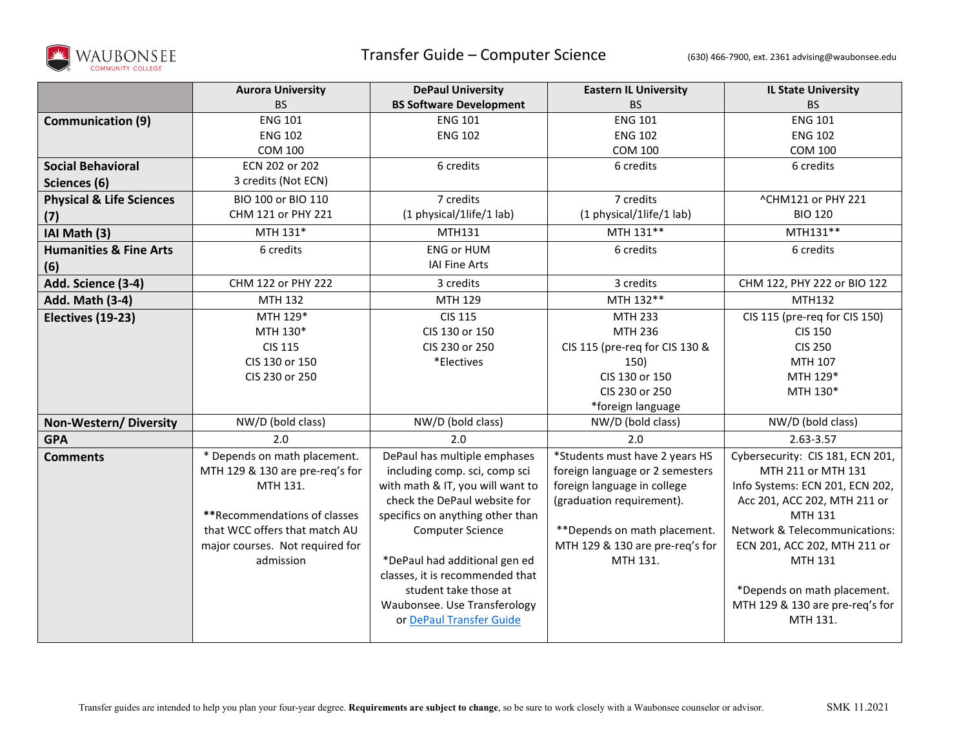

## Transfer Guide – Computer Science (630) 466-7900, ext. 2361 advising@waubonsee.edu

|                                     | <b>Aurora University</b>        | <b>DePaul University</b>         | <b>Eastern IL University</b>    | <b>IL State University</b>       |
|-------------------------------------|---------------------------------|----------------------------------|---------------------------------|----------------------------------|
|                                     | <b>BS</b>                       | <b>BS Software Development</b>   | <b>BS</b>                       | <b>BS</b>                        |
| <b>Communication (9)</b>            | <b>ENG 101</b>                  | <b>ENG 101</b>                   | <b>ENG 101</b>                  | <b>ENG 101</b>                   |
|                                     | <b>ENG 102</b>                  | <b>ENG 102</b>                   | <b>ENG 102</b>                  | <b>ENG 102</b>                   |
|                                     | <b>COM 100</b>                  |                                  | <b>COM 100</b>                  | <b>COM 100</b>                   |
| <b>Social Behavioral</b>            | ECN 202 or 202                  | 6 credits                        | 6 credits                       | 6 credits                        |
| Sciences (6)                        | 3 credits (Not ECN)             |                                  |                                 |                                  |
| <b>Physical &amp; Life Sciences</b> | BIO 100 or BIO 110              | 7 credits                        | 7 credits                       | ^CHM121 or PHY 221               |
| (7)                                 | CHM 121 or PHY 221              | (1 physical/1life/1 lab)         | (1 physical/1life/1 lab)        | <b>BIO 120</b>                   |
| IAI Math (3)                        | MTH 131*                        | MTH131                           | MTH 131**                       | MTH131**                         |
| <b>Humanities &amp; Fine Arts</b>   | 6 credits                       | <b>ENG or HUM</b>                | 6 credits                       | 6 credits                        |
| (6)                                 |                                 | <b>IAI Fine Arts</b>             |                                 |                                  |
| Add. Science (3-4)                  | CHM 122 or PHY 222              | 3 credits                        | 3 credits                       | CHM 122, PHY 222 or BIO 122      |
| Add. Math (3-4)                     | MTH 132                         | MTH 129                          | MTH 132**                       | MTH132                           |
| Electives (19-23)                   | MTH 129*                        | <b>CIS 115</b>                   | <b>MTH 233</b>                  | CIS 115 (pre-req for CIS 150)    |
|                                     | MTH 130*                        | CIS 130 or 150                   | <b>MTH 236</b>                  | <b>CIS 150</b>                   |
|                                     | <b>CIS 115</b>                  | CIS 230 or 250                   | CIS 115 (pre-req for CIS 130 &  | <b>CIS 250</b>                   |
|                                     | CIS 130 or 150                  | *Electives                       | 150)                            | MTH 107                          |
|                                     | CIS 230 or 250                  |                                  | CIS 130 or 150                  | MTH 129*                         |
|                                     |                                 |                                  | CIS 230 or 250                  | MTH 130*                         |
|                                     |                                 |                                  | *foreign language               |                                  |
| Non-Western/Diversity               | NW/D (bold class)               | NW/D (bold class)                | NW/D (bold class)               | NW/D (bold class)                |
| <b>GPA</b>                          | 2.0                             | 2.0                              | 2.0                             | 2.63-3.57                        |
| <b>Comments</b>                     | * Depends on math placement.    | DePaul has multiple emphases     | *Students must have 2 years HS  | Cybersecurity: CIS 181, ECN 201, |
|                                     | MTH 129 & 130 are pre-req's for | including comp. sci, comp sci    | foreign language or 2 semesters | MTH 211 or MTH 131               |
|                                     | MTH 131.                        | with math & IT, you will want to | foreign language in college     | Info Systems: ECN 201, ECN 202,  |
|                                     |                                 | check the DePaul website for     | (graduation requirement).       | Acc 201, ACC 202, MTH 211 or     |
|                                     | **Recommendations of classes    | specifics on anything other than |                                 | MTH 131                          |
|                                     | that WCC offers that match AU   | <b>Computer Science</b>          | ** Depends on math placement.   | Network & Telecommunications:    |
|                                     | major courses. Not required for |                                  | MTH 129 & 130 are pre-req's for | ECN 201, ACC 202, MTH 211 or     |
|                                     | admission                       | *DePaul had additional gen ed    | MTH 131.                        | MTH 131                          |
|                                     |                                 | classes, it is recommended that  |                                 |                                  |
|                                     |                                 | student take those at            |                                 | *Depends on math placement.      |
|                                     |                                 | Waubonsee. Use Transferology     |                                 | MTH 129 & 130 are pre-req's for  |
|                                     |                                 | or DePaul Transfer Guide         |                                 | MTH 131.                         |
|                                     |                                 |                                  |                                 |                                  |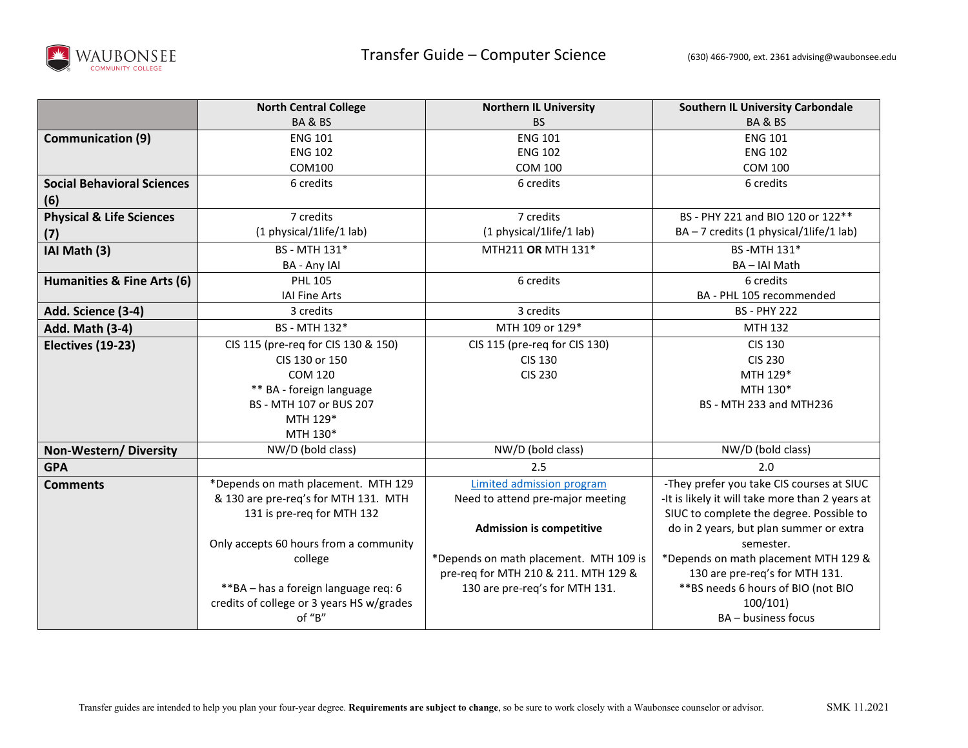

|                                     | <b>North Central College</b>              | <b>Northern IL University</b>          | <b>Southern IL University Carbondale</b>        |
|-------------------------------------|-------------------------------------------|----------------------------------------|-------------------------------------------------|
|                                     | BA&BS                                     | <b>BS</b>                              | BA&BS                                           |
| <b>Communication (9)</b>            | <b>ENG 101</b>                            | <b>ENG 101</b>                         | <b>ENG 101</b>                                  |
|                                     | <b>ENG 102</b>                            | <b>ENG 102</b>                         | <b>ENG 102</b>                                  |
|                                     | COM100                                    | <b>COM 100</b>                         | <b>COM 100</b>                                  |
| <b>Social Behavioral Sciences</b>   | 6 credits                                 | 6 credits                              | 6 credits                                       |
| (6)                                 |                                           |                                        |                                                 |
| <b>Physical &amp; Life Sciences</b> | 7 credits                                 | 7 credits                              | BS - PHY 221 and BIO 120 or 122**               |
| (7)                                 | (1 physical/1life/1 lab)                  | (1 physical/1life/1 lab)               | BA - 7 credits (1 physical/1life/1 lab)         |
| IAI Math (3)                        | BS - MTH 131*                             | MTH211 OR MTH 131*                     | BS-MTH 131*                                     |
|                                     | <b>BA - Any IAI</b>                       |                                        | BA-IAI Math                                     |
| Humanities & Fine Arts (6)          | <b>PHL 105</b>                            | 6 credits                              | 6 credits                                       |
|                                     | <b>IAI Fine Arts</b>                      |                                        | BA - PHL 105 recommended                        |
| Add. Science (3-4)                  | 3 credits                                 | 3 credits                              | <b>BS - PHY 222</b>                             |
| <b>Add. Math (3-4)</b>              | BS - MTH 132*                             | MTH 109 or 129*                        | MTH 132                                         |
| Electives (19-23)                   | CIS 115 (pre-req for CIS 130 & 150)       | CIS 115 (pre-req for CIS 130)          | <b>CIS 130</b>                                  |
|                                     | CIS 130 or 150                            | <b>CIS 130</b>                         | <b>CIS 230</b>                                  |
|                                     | <b>COM 120</b>                            | <b>CIS 230</b>                         | MTH 129*                                        |
|                                     | ** BA - foreign language                  |                                        | MTH 130*                                        |
|                                     | BS - MTH 107 or BUS 207                   |                                        | BS - MTH 233 and MTH236                         |
|                                     | MTH 129*                                  |                                        |                                                 |
|                                     | MTH 130*                                  |                                        |                                                 |
| Non-Western/Diversity               | NW/D (bold class)                         | NW/D (bold class)                      | NW/D (bold class)                               |
| <b>GPA</b>                          |                                           | 2.5                                    | 2.0                                             |
| <b>Comments</b>                     | *Depends on math placement. MTH 129       | Limited admission program              | -They prefer you take CIS courses at SIUC       |
|                                     | & 130 are pre-req's for MTH 131. MTH      | Need to attend pre-major meeting       | -It is likely it will take more than 2 years at |
|                                     | 131 is pre-req for MTH 132                |                                        | SIUC to complete the degree. Possible to        |
|                                     |                                           | <b>Admission is competitive</b>        | do in 2 years, but plan summer or extra         |
|                                     | Only accepts 60 hours from a community    |                                        | semester.                                       |
| college                             |                                           | *Depends on math placement. MTH 109 is | *Depends on math placement MTH 129 &            |
|                                     |                                           | pre-req for MTH 210 & 211. MTH 129 &   | 130 are pre-req's for MTH 131.                  |
|                                     | **BA - has a foreign language req: 6      | 130 are pre-req's for MTH 131.         | ** BS needs 6 hours of BIO (not BIO             |
|                                     | credits of college or 3 years HS w/grades |                                        | 100/101                                         |
|                                     | of "B"                                    |                                        | BA - business focus                             |